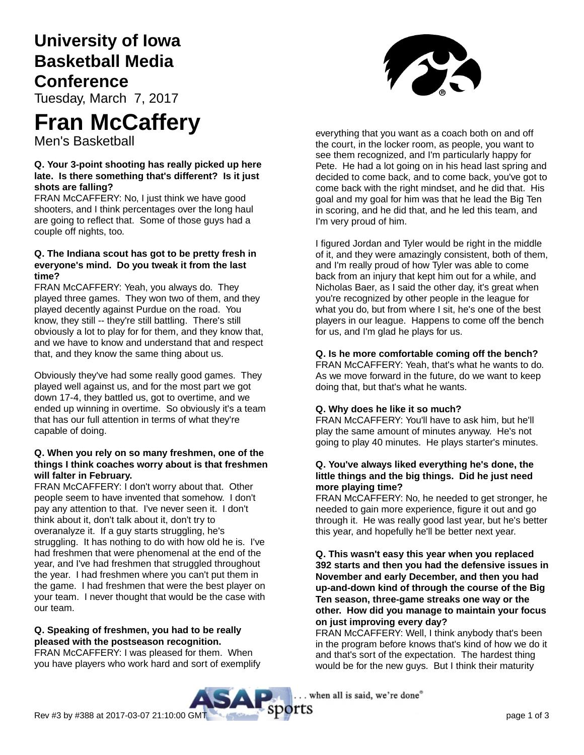# **University of Iowa Basketball Media Conference**

Tuesday, March 7, 2017

# **Fran McCaffery**

Men's Basketball

### **Q. Your 3-point shooting has really picked up here late. Is there something that's different? Is it just shots are falling?**

FRAN McCAFFERY: No, I just think we have good shooters, and I think percentages over the long haul are going to reflect that. Some of those guys had a couple off nights, too.

#### **Q. The Indiana scout has got to be pretty fresh in everyone's mind. Do you tweak it from the last time?**

FRAN McCAFFERY: Yeah, you always do. They played three games. They won two of them, and they played decently against Purdue on the road. You know, they still -- they're still battling. There's still obviously a lot to play for for them, and they know that, and we have to know and understand that and respect that, and they know the same thing about us.

Obviously they've had some really good games. They played well against us, and for the most part we got down 17-4, they battled us, got to overtime, and we ended up winning in overtime. So obviously it's a team that has our full attention in terms of what they're capable of doing.

#### **Q. When you rely on so many freshmen, one of the things I think coaches worry about is that freshmen will falter in February.**

FRAN McCAFFERY: I don't worry about that. Other people seem to have invented that somehow. I don't pay any attention to that. I've never seen it. I don't think about it, don't talk about it, don't try to overanalyze it. If a guy starts struggling, he's struggling. It has nothing to do with how old he is. I've had freshmen that were phenomenal at the end of the year, and I've had freshmen that struggled throughout the year. I had freshmen where you can't put them in the game. I had freshmen that were the best player on your team. I never thought that would be the case with our team.

# **Q. Speaking of freshmen, you had to be really pleased with the postseason recognition.**

FRAN McCAFFERY: I was pleased for them. When you have players who work hard and sort of exemplify



everything that you want as a coach both on and off the court, in the locker room, as people, you want to see them recognized, and I'm particularly happy for Pete. He had a lot going on in his head last spring and decided to come back, and to come back, you've got to come back with the right mindset, and he did that. His goal and my goal for him was that he lead the Big Ten in scoring, and he did that, and he led this team, and I'm very proud of him.

I figured Jordan and Tyler would be right in the middle of it, and they were amazingly consistent, both of them, and I'm really proud of how Tyler was able to come back from an injury that kept him out for a while, and Nicholas Baer, as I said the other day, it's great when you're recognized by other people in the league for what you do, but from where I sit, he's one of the best players in our league. Happens to come off the bench for us, and I'm glad he plays for us.

## **Q. Is he more comfortable coming off the bench?**

FRAN McCAFFERY: Yeah, that's what he wants to do. As we move forward in the future, do we want to keep doing that, but that's what he wants.

# **Q. Why does he like it so much?**

FRAN McCAFFERY: You'll have to ask him, but he'll play the same amount of minutes anyway. He's not going to play 40 minutes. He plays starter's minutes.

#### **Q. You've always liked everything he's done, the little things and the big things. Did he just need more playing time?**

FRAN McCAFFERY: No, he needed to get stronger, he needed to gain more experience, figure it out and go through it. He was really good last year, but he's better this year, and hopefully he'll be better next year.

**Q. This wasn't easy this year when you replaced 392 starts and then you had the defensive issues in November and early December, and then you had up-and-down kind of through the course of the Big Ten season, three-game streaks one way or the other. How did you manage to maintain your focus on just improving every day?**

FRAN McCAFFERY: Well, I think anybody that's been in the program before knows that's kind of how we do it and that's sort of the expectation. The hardest thing would be for the new guys. But I think their maturity

. when all is said, we're done"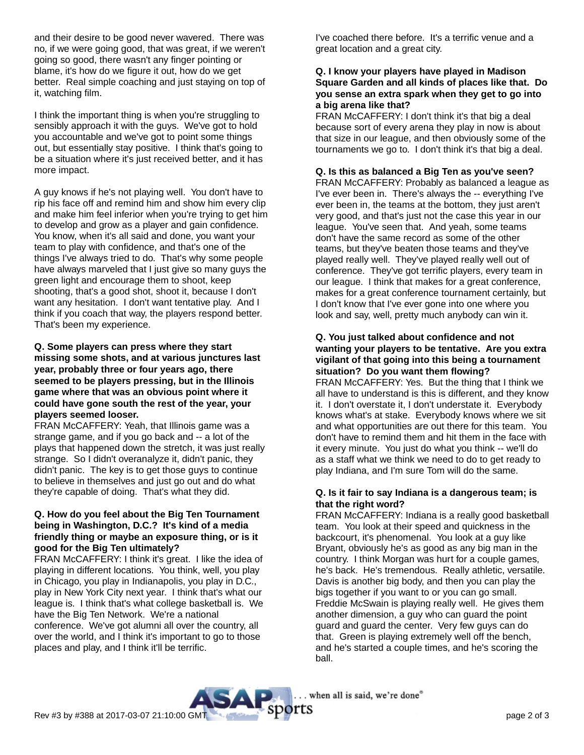and their desire to be good never wavered. There was no, if we were going good, that was great, if we weren't going so good, there wasn't any finger pointing or blame, it's how do we figure it out, how do we get better. Real simple coaching and just staying on top of it, watching film.

I think the important thing is when you're struggling to sensibly approach it with the guys. We've got to hold you accountable and we've got to point some things out, but essentially stay positive. I think that's going to be a situation where it's just received better, and it has more impact.

A guy knows if he's not playing well. You don't have to rip his face off and remind him and show him every clip and make him feel inferior when you're trying to get him to develop and grow as a player and gain confidence. You know, when it's all said and done, you want your team to play with confidence, and that's one of the things I've always tried to do. That's why some people have always marveled that I just give so many guys the green light and encourage them to shoot, keep shooting, that's a good shot, shoot it, because I don't want any hesitation. I don't want tentative play. And I think if you coach that way, the players respond better. That's been my experience.

#### **Q. Some players can press where they start missing some shots, and at various junctures last year, probably three or four years ago, there seemed to be players pressing, but in the Illinois game where that was an obvious point where it could have gone south the rest of the year, your players seemed looser.**

FRAN McCAFFERY: Yeah, that Illinois game was a strange game, and if you go back and -- a lot of the plays that happened down the stretch, it was just really strange. So I didn't overanalyze it, didn't panic, they didn't panic. The key is to get those guys to continue to believe in themselves and just go out and do what they're capable of doing. That's what they did.

#### **Q. How do you feel about the Big Ten Tournament being in Washington, D.C.? It's kind of a media friendly thing or maybe an exposure thing, or is it good for the Big Ten ultimately?**

FRAN McCAFFERY: I think it's great. I like the idea of playing in different locations. You think, well, you play in Chicago, you play in Indianapolis, you play in D.C., play in New York City next year. I think that's what our league is. I think that's what college basketball is. We have the Big Ten Network. We're a national conference. We've got alumni all over the country, all over the world, and I think it's important to go to those places and play, and I think it'll be terrific.

I've coached there before. It's a terrific venue and a great location and a great city.

#### **Q. I know your players have played in Madison Square Garden and all kinds of places like that. Do you sense an extra spark when they get to go into a big arena like that?**

FRAN McCAFFERY: I don't think it's that big a deal because sort of every arena they play in now is about that size in our league, and then obviously some of the tournaments we go to. I don't think it's that big a deal.

#### **Q. Is this as balanced a Big Ten as you've seen?**

FRAN McCAFFERY: Probably as balanced a league as I've ever been in. There's always the -- everything I've ever been in, the teams at the bottom, they just aren't very good, and that's just not the case this year in our league. You've seen that. And yeah, some teams don't have the same record as some of the other teams, but they've beaten those teams and they've played really well. They've played really well out of conference. They've got terrific players, every team in our league. I think that makes for a great conference, makes for a great conference tournament certainly, but I don't know that I've ever gone into one where you look and say, well, pretty much anybody can win it.

#### **Q. You just talked about confidence and not wanting your players to be tentative. Are you extra vigilant of that going into this being a tournament situation? Do you want them flowing?**

FRAN McCAFFERY: Yes. But the thing that I think we all have to understand is this is different, and they know it. I don't overstate it, I don't understate it. Everybody knows what's at stake. Everybody knows where we sit and what opportunities are out there for this team. You don't have to remind them and hit them in the face with it every minute. You just do what you think -- we'll do as a staff what we think we need to do to get ready to play Indiana, and I'm sure Tom will do the same.

#### **Q. Is it fair to say Indiana is a dangerous team; is that the right word?**

FRAN McCAFFERY: Indiana is a really good basketball team. You look at their speed and quickness in the backcourt, it's phenomenal. You look at a guy like Bryant, obviously he's as good as any big man in the country. I think Morgan was hurt for a couple games, he's back. He's tremendous. Really athletic, versatile. Davis is another big body, and then you can play the bigs together if you want to or you can go small. Freddie McSwain is playing really well. He gives them another dimension, a guy who can guard the point guard and guard the center. Very few guys can do that. Green is playing extremely well off the bench, and he's started a couple times, and he's scoring the ball.